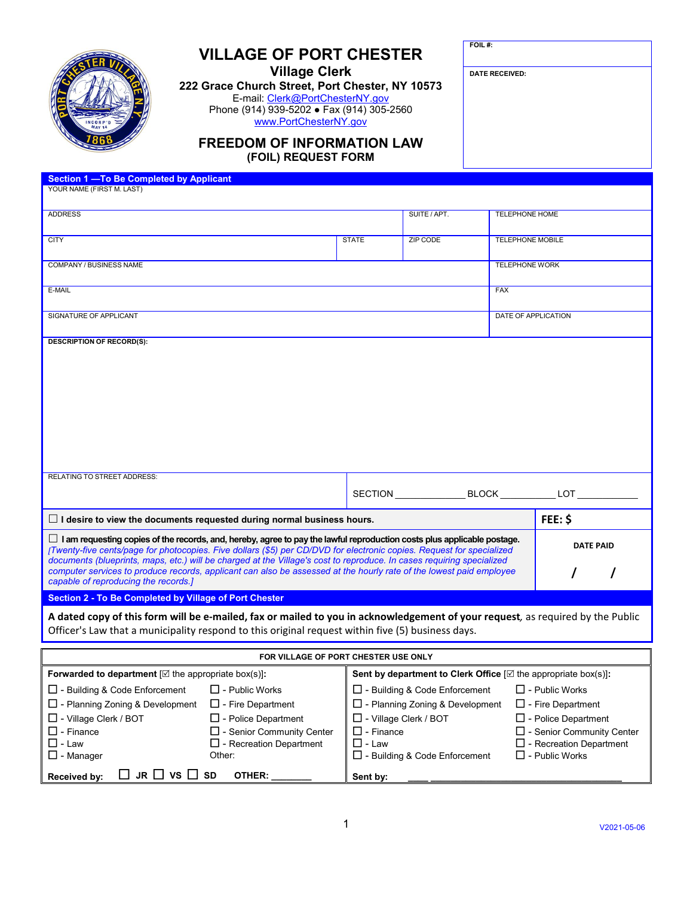| INCORP'D<br>MAY 14 |  |
|--------------------|--|

## **VILLAGE OF PORT CHESTER**

**Village Clerk**

**222 Grace Church Street, Port Chester, NY 10573** E-mail: <u>Clerk@PortChesterNY.gov</u> Phone (914) 939-5202 ● Fax (914) 305-2560 [www.PortChesterNY.gov](http://www.portchesterny.gov/)

**FOIL #:**

**DATE RECEIVED:**

## **FREEDOM OF INFORMATION LAW (FOIL) REQUEST FORM**

| Section 1 - To Be Completed by Applicant                                                                                             |              |                 |                         |                   |
|--------------------------------------------------------------------------------------------------------------------------------------|--------------|-----------------|-------------------------|-------------------|
| YOUR NAME (FIRST M. LAST)                                                                                                            |              |                 |                         |                   |
|                                                                                                                                      |              |                 |                         |                   |
| <b>ADDRESS</b>                                                                                                                       |              | SUITE / APT.    | TELEPHONE HOME          |                   |
|                                                                                                                                      |              |                 |                         |                   |
| <b>CITY</b>                                                                                                                          | <b>STATE</b> | <b>ZIP CODE</b> | <b>TELEPHONE MOBILE</b> |                   |
|                                                                                                                                      |              |                 |                         |                   |
|                                                                                                                                      |              |                 |                         |                   |
| COMPANY / BUSINESS NAME                                                                                                              |              |                 | <b>TELEPHONE WORK</b>   |                   |
|                                                                                                                                      |              |                 |                         |                   |
| E-MAIL                                                                                                                               |              |                 | <b>FAX</b>              |                   |
|                                                                                                                                      |              |                 |                         |                   |
| SIGNATURE OF APPLICANT                                                                                                               |              |                 | DATE OF APPLICATION     |                   |
|                                                                                                                                      |              |                 |                         |                   |
| <b>DESCRIPTION OF RECORD(S):</b>                                                                                                     |              |                 |                         |                   |
|                                                                                                                                      |              |                 |                         |                   |
|                                                                                                                                      |              |                 |                         |                   |
|                                                                                                                                      |              |                 |                         |                   |
|                                                                                                                                      |              |                 |                         |                   |
|                                                                                                                                      |              |                 |                         |                   |
|                                                                                                                                      |              |                 |                         |                   |
|                                                                                                                                      |              |                 |                         |                   |
|                                                                                                                                      |              |                 |                         |                   |
|                                                                                                                                      |              |                 |                         |                   |
|                                                                                                                                      |              |                 |                         |                   |
|                                                                                                                                      |              |                 |                         |                   |
| <b>RELATING TO STREET ADDRESS:</b>                                                                                                   |              |                 |                         |                   |
|                                                                                                                                      |              |                 |                         |                   |
|                                                                                                                                      |              |                 |                         | SECTION BLOCK LOT |
|                                                                                                                                      |              |                 |                         |                   |
| $\Box$ I desire to view the documents requested during normal business hours.                                                        |              |                 |                         | FEE: \$           |
|                                                                                                                                      |              |                 |                         |                   |
| $\Box$ I am requesting copies of the records, and, hereby, agree to pay the lawful reproduction costs plus applicable postage.       |              |                 |                         | <b>DATE PAID</b>  |
| [Twenty-five cents/page for photocopies. Five dollars (\$5) per CD/DVD for electronic copies. Request for specialized                |              |                 |                         |                   |
| documents (blueprints, maps, etc.) will be charged at the Village's cost to reproduce. In cases requiring specialized                |              |                 |                         |                   |
| computer services to produce records, applicant can also be assessed at the hourly rate of the lowest paid employee                  |              |                 |                         |                   |
| capable of reproducing the records.]                                                                                                 |              |                 |                         |                   |
| <b>Section 2 - To Be Completed by Village of Port Chester</b>                                                                        |              |                 |                         |                   |
|                                                                                                                                      |              |                 |                         |                   |
| A dated copy of this form will be e-mailed, fax or mailed to you in acknowledgement of your request, as required by the Public       |              |                 |                         |                   |
| Officer's Law that a municipality respond to this original request within five (5) business days.                                    |              |                 |                         |                   |
|                                                                                                                                      |              |                 |                         |                   |
| FOR VILLAGE OF PORT CHESTER USE ONLY                                                                                                 |              |                 |                         |                   |
|                                                                                                                                      |              |                 |                         |                   |
| Forwarded to department $[\Box$ the appropriate box(s)]:<br>Sent by department to Clerk Office $[\boxtimes$ the appropriate box(s)]: |              |                 |                         |                   |
| $\Box$ - Building & Code Enforcement<br>$\Box$ - Building & Code Enforcement<br>$\Box$ - Public Works<br>$\Box$ - Public Works       |              |                 |                         |                   |

| $\Box$ JR $\Box$ VS $\Box$ SD<br>Received by: | OTHER:                            | Sent by:                                    |                                |
|-----------------------------------------------|-----------------------------------|---------------------------------------------|--------------------------------|
| $\square$ - Manager                           | Other:                            | $\Box$ - Building & Code Enforcement        | $\Box$ - Public Works          |
| $\square$ - Law                               | $\square$ - Recreation Department | $\square$ - Law                             | $\Box$ - Recreation Department |
| $\square$ - Finance                           | $\Box$ - Senior Community Center  | $\Box$ - Finance                            | □ - Senior Community Center    |
| $\square$ - Village Clerk / BOT               | $\Box$ - Police Department        | $\Box$ - Village Clerk / BOT                | $\Box$ - Police Department     |
| $\square$ - Planning Zoning & Development     | $\Box$ - Fire Department          | $\Box$ - Planning Zoning & Development      | $\Box$ - Fire Department       |
| $\Box$ - Building $\alpha$ Code Enforcement   | $\Box$ - PUDIIC VVOIKS            | $\Box$ - Building $\alpha$ Code Enforcement | $\Box$ - PUDIIC VVOIKS         |